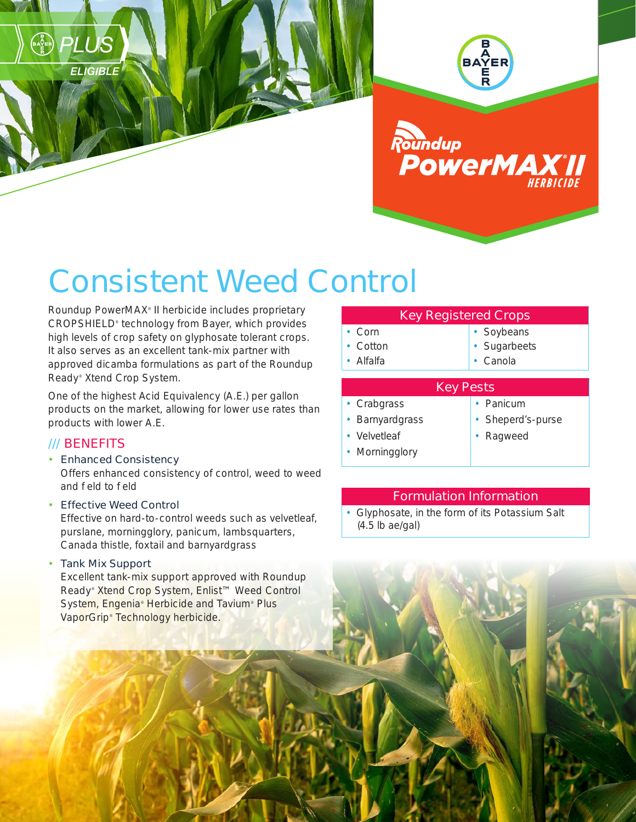



# Consistent Weed Control

Roundup PowerMAX® II herbicide includes proprietary CROPSHIELD® technology from Bayer, which provides high levels of crop safety on glyphosate tolerant crops. It also serves as an excellent tank-mix partner with approved dicamba formulations as part of the Roundup Ready® Xtend Crop System.

One of the highest Acid Equivalency (A.E.) per gallon products on the market, allowing for lower use rates than products with lower A.E.

## /// BENEFITS

RAZER) PLUS

**ELIGIBLE** 

#### • Enhanced Consistency

Offers enhanced consistency of control, weed to weed and field to field

#### • Effective Weed Control

Effective on hard-to-control weeds such as velvetleaf, purslane, morningglory, panicum, lambsquarters, Canada thistle, foxtail and barnyardgrass

#### • Tank Mix Support

Excellent tank-mix support approved with Roundup Ready<sup>®</sup> Xtend Crop System, Enlist<sup>™</sup> Weed Control System, Engenia<sup>®</sup> Herbicide and Tavium® Plus VaporGrip® Technology herbicide.

| <b>Key Registered Crops</b> |  |
|-----------------------------|--|
|                             |  |

- Corn • Cotton • Alfalfa
- Soybeans
- Sugarbeets
- Canola

### Key Pests

- Crabgrass
- Barnyardgrass
- Panicum
- Sheperd's-purse
- Velvetleaf
- Morningglory
- Ragweed

# Formulation Information

• Glyphosate, in the form of its Potassium Salt (4.5 lb ae/gal)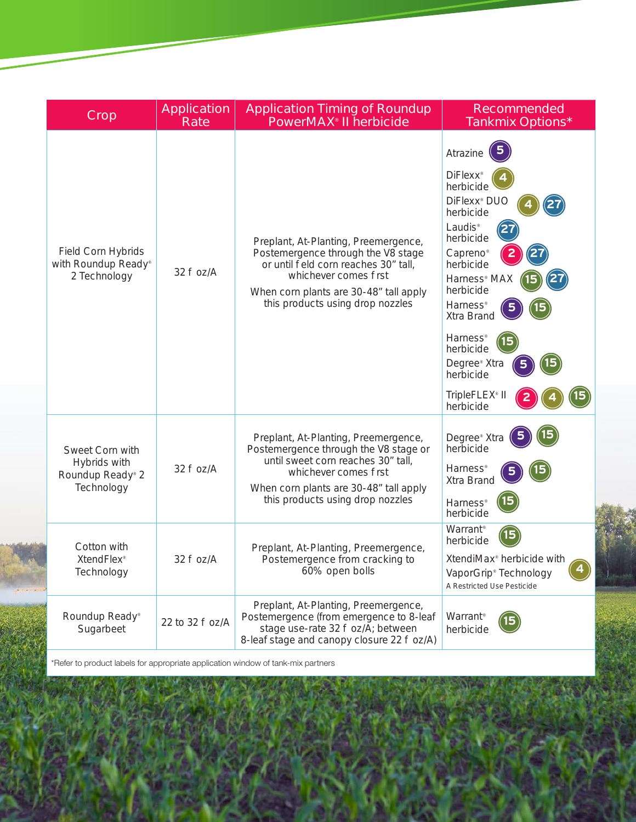| <b>Crop</b>                                                       | <b>Application</b><br>Rate | <b>Application Timing of Roundup</b><br><b>PowerMAX<sup>®</sup> II herbicide</b>                                                                                                                                           | <b>Recommended</b><br><b>Tankmix Options*</b>                                                                                                                                                                                                                                                                                                                                                          |
|-------------------------------------------------------------------|----------------------------|----------------------------------------------------------------------------------------------------------------------------------------------------------------------------------------------------------------------------|--------------------------------------------------------------------------------------------------------------------------------------------------------------------------------------------------------------------------------------------------------------------------------------------------------------------------------------------------------------------------------------------------------|
| <b>Field Corn Hybrids</b><br>with Roundup Ready®<br>2 Technology  | 32 fl oz/A                 | Preplant, At-Planting, Preemergence,<br>Postemergence through the V8 stage<br>or until field corn reaches 30" tall,<br>whichever comes first<br>When corn plants are 30-48" tall apply<br>this products using drop nozzles | Atrazine<br>DiFlexx <sup>®</sup><br>herbicide<br>DiFlexx <sup>®</sup> DUO<br>herbicide<br>Laudis <sup>®</sup><br>27<br>herbicide<br>$\overline{2}$<br>Capreno <sup>®</sup><br>herbicide<br>Harness <sup>®</sup> MAX<br>herbicide<br><b>Harness</b> <sup>®</sup><br>Xtra Brand<br>Harness <sup>®</sup><br>herbicide<br>Degree <sup>®</sup> Xtra<br>herbicide<br>TripleFLEX <sup>®</sup> II<br>herbicide |
| Sweet Corn with<br>Hybrids with<br>Roundup Ready® 2<br>Technology | 32 fl oz/A                 | Preplant, At-Planting, Preemergence,<br>Postemergence through the V8 stage or<br>until sweet corn reaches 30" tall,<br>whichever comes first<br>When corn plants are 30-48" tall apply<br>this products using drop nozzles | Degree <sup>®</sup> Xtra<br>herbicide<br><b>Harness®</b><br>Xtra Brand<br><b>Harness®</b><br>herbicide                                                                                                                                                                                                                                                                                                 |
| Cotton with<br><b>XtendFlex®</b><br>Technology                    | 32 fl oz/A                 | Preplant, At-Planting, Preemergence,<br>Postemergence from cracking to<br>60% open bolls                                                                                                                                   | Warrant <sup>®</sup><br>herbicide<br>XtendiMax <sup>®</sup> herbicide with<br>VaporGrip® Technology<br>A Restricted Use Pesticide                                                                                                                                                                                                                                                                      |
| Roundup Ready®<br>Sugarbeet                                       | 22 to 32 fl oz/A           | Preplant, At-Planting, Preemergence,<br>Postemergence (from emergence to 8-leaf<br>stage use-rate 32 fl oz/A; between<br>8-leaf stage and canopy closure 22 fl oz/A)                                                       | Warrant®<br>herbicide                                                                                                                                                                                                                                                                                                                                                                                  |

\*Refer to product labels for appropriate application window of tank-mix partners